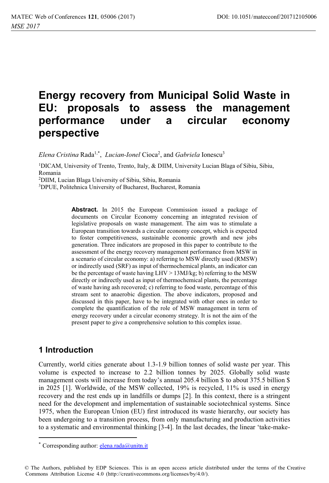# **Energy recovery from Municipal Solid Waste in EU: proposals to assess the management performance under a circular economy perspective**

Elena Cristina Rada<sup>1,\*</sup>, *Lucian-Ionel* Cioca<sup>2</sup>, and *Gabriela* Ionescu<sup>3</sup>

1DICAM, University of Trento, Trento, Italy, & DIIM, University Lucian Blaga of Sibiu, Sibiu, Romania<br><sup>2</sup>DIIM, Lucian Blaga University of Sibiu, Sibiu, Romania

<sup>3</sup>DPUE, Politehnica University of Bucharest, Bucharest, Romania

**Abstract.** In 2015 the European Commission issued a package of documents on Circular Economy concerning an integrated revision of legislative proposals on waste management. The aim was to stimulate a European transition towards a circular economy concept, which is expected to foster competitiveness, sustainable economic growth and new jobs generation. Three indicators are proposed in this paper to contribute to the assessment of the energy recovery management performance from MSW in a scenario of circular economy: a) referring to MSW directly used (RMSW) or indirectly used (SRF) as input of thermochemical plants, an indicator can be the percentage of waste having LHV > 13MJ/kg; b) referring to the MSW directly or indirectly used as input of thermochemical plants, the percentage of waste having ash recovered; c) referring to food waste, percentage of this stream sent to anaerobic digestion. The above indicators, proposed and discussed in this paper, have to be integrated with other ones in order to complete the quantification of the role of MSW management in term of energy recovery under a circular economy strategy. It is not the aim of the present paper to give a comprehensive solution to this complex issue.

#### **1 Introduction**

 $\overline{a}$ 

Currently, world cities generate about 1.3-1.9 billion tonnes of solid waste per year. This volume is expected to increase to 2.2 billion tonnes by 2025. Globally solid waste management costs will increase from today's annual 205.4 billion \$ to about 375.5 billion \$ in 2025 [1]. Worldwide, of the MSW collected, 19% is recycled, 11% is used in energy recovery and the rest ends up in landfills or dumps [2]. In this context, there is a stringent need for the development and implementation of sustainable sociotechnical systems. Since 1975, when the European Union (EU) first introduced its waste hierarchy, our society has been undergoing to a transition process, from only manufacturing and production activities to a systematic and environmental thinking [3-4]. In the last decades, the linear 'take-make-

Corresponding author:  $\frac{\text{clean} \cdot \text{rad} \cdot \hat{a}}{\text{quant} \cdot \text{int}}$ .

<sup>©</sup> The Authors, published by EDP Sciences. This is an open access article distributed under the terms of the Creative Commons Attribution License 4.0 (http://creativecommons.org/licenses/by/4.0/).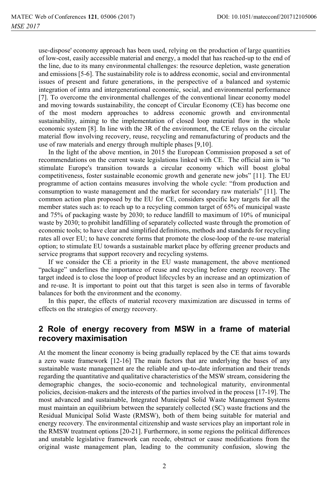use-dispose' economy approach has been used, relying on the production of large quantities of low-cost, easily accessible material and energy, a model that has reached-up to the end of the line, due to its many environmental challenges: the resource depletion, waste generation and emissions [5-6]. The sustainability role is to address economic, social and environmental issues of present and future generations, in the perspective of a balanced and systemic integration of intra and intergenerational economic, social, and environmental performance [7]. To overcome the environmental challenges of the conventional linear economy model and moving towards sustainability, the concept of Circular Economy (CE) has become one of the most modern approaches to address economic growth and environmental sustainability, aiming to the implementation of closed loop material flow in the whole economic system [8]. In line with the 3R of the environment, the CE relays on the circular material flow involving recovery, reuse, recycling and remanufacturing of products and the use of raw materials and energy through multiple phases [9,10].

In the light of the above mention, in 2015 the European Commission proposed a set of recommendations on the current waste legislations linked with CE. The official aim is "to stimulate Europe's transition towards a circular economy which will boost global competitiveness, foster sustainable economic growth and generate new jobs" [11]. The EU programme of action contains measures involving the whole cycle: "from production and consumption to waste management and the market for secondary raw materials" [11]. The common action plan proposed by the EU for CE, considers specific key targets for all the member states such as: to reach up to a recycling common target of 65% of municipal waste and 75% of packaging waste by 2030; to reduce landfill to maximum of 10% of municipal waste by 2030; to prohibit landfilling of separately collected waste through the promotion of economic tools; to have clear and simplified definitions, methods and standards for recycling rates all over EU; to have concrete forms that promote the close-loop of the re-use material option; to stimulate EU towards a sustainable market place by offering greener products and service programs that support recovery and recycling systems.

If we consider the CE a priority in the EU waste management, the above mentioned "package" underlines the importance of reuse and recycling before energy recovery. The target indeed is to close the loop of product lifecycles by an increase and an optimization of and re-use. It is important to point out that this target is seen also in terms of favorable balances for both the environment and the economy.

In this paper, the effects of material recovery maximization are discussed in terms of effects on the strategies of energy recovery.

## **2 Role of energy recovery from MSW in a frame of material recovery maximisation**

At the moment the linear economy is being gradually replaced by the CE that aims towards a zero waste framework [12-16] The main factors that are underlying the bases of any sustainable waste management are the reliable and up-to-date information and their trends regarding the quantitative and qualitative characteristics of the MSW stream, considering the demographic changes, the socio-economic and technological maturity, environmental policies, decision-makers and the interests of the parties involved in the process [17-19]. The most advanced and sustainable, Integrated Municipal Solid Waste Management Systems must maintain an equilibrium between the separately collected (SC) waste fractions and the Residual Municipal Solid Waste (RMSW), both of them being suitable for material and energy recovery. The environmental citizenship and waste services play an important role in the RMSW treatment options [20-21]. Furthermore, in some regions the political differences and unstable legislative framework can recede, obstruct or cause modifications from the original waste management plan, leading to the community confusion, slowing the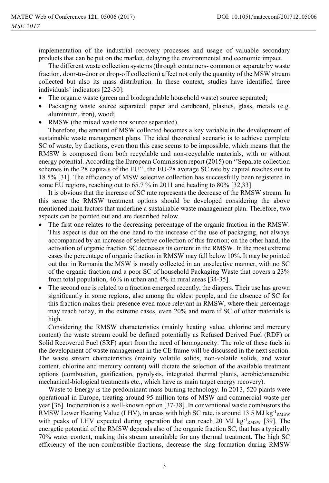implementation of the industrial recovery processes and usage of valuable secondary products that can be put on the market, delaying the environmental and economic impact.

The different waste collection systems (through containers- common or separate by waste fraction, door-to-door or drop-off collection) affect not only the quantity of the MSW stream collected but also its mass distribution. In these context, studies have identified three individuals' indicators [22-30]:

- -The organic waste (green and biodegradable household waste) source separated;
- - Packaging waste source separated: paper and cardboard, plastics, glass, metals (e.g. aluminium, iron), wood;
- -RMSW (the mixed waste not source separated).

Therefore, the amount of MSW collected becomes a key variable in the development of sustainable waste management plans. The ideal theoretical scenario is to achieve complete SC of waste, by fractions, even thou this case seems to be impossible, which means that the RMSW is composed from both recyclable and non-recyclable materials, with or without energy potential. According the European Commission report (2015) on ''Separate collection schemes in the 28 capitals of the EU'', the EU-28 average SC rate by capital reaches out to 18.5% [31]. The efficiency of MSW selective collection has successfully been registered in some EU regions, reaching out to 65.7 % in 2011 and heading to 80% [32,33].

It is obvious that the increase of SC rate represents the decrease of the RMSW stream. In this sense the RMSW treatment options should be developed considering the above mentioned main factors that underline a sustainable waste management plan. Therefore, two aspects can be pointed out and are described below.

- - The first one relates to the decreasing percentage of the organic fraction in the RMSW. This aspect is due on the one hand to the increase of the use of packaging, not always accompanied by an increase of selective collection of this fraction; on the other hand, the activation of organic fraction SC decreases its content in the RMSW. In the most extreme cases the percentage of organic fraction in RMSW may fall below 10%. It may be pointed out that in Romania the MSW is mostly collected in an unselective manner, with no SC of the organic fraction and a poor SC of household Packaging Waste that covers a 23% from total population, 46% in urban and 4% in rural areas [34-35].
- - The second one is related to a fraction emerged recently, the diapers. Their use has grown significantly in some regions, also among the oldest people, and the absence of SC for this fraction makes their presence even more relevant in RMSW, where their percentage may reach today, in the extreme cases, even 20% and more if SC of other materials is high.

Considering the RMSW characteristics (mainly heating value, chlorine and mercury content) the waste stream could be defined potentially as Refused Derived Fuel (RDF) or Solid Recovered Fuel (SRF) apart from the need of homogeneity. The role of these fuels in the development of waste management in the CE frame will be discussed in the next section. The waste stream characteristics (mainly volatile solids, non-volatile solids, and water content, chlorine and mercury content) will dictate the selection of the available treatment options (combustion, gasification, pyrolysis, integrated thermal plants, aerobic/anaerobic mechanical-biological treatments etc., which have as main target energy recovery).

Waste to Energy is the predominant mass burning technology. In 2013, 520 plants were operational in Europe, treating around 95 million tons of MSW and commercial waste per year [36]. Incineration is a well-known option [37-38]. In conventional waste combustors the RMSW Lower Heating Value (LHV), in areas with high SC rate, is around 13.5 MJ kg<sup>-1</sup>RMSW with peaks of LHV expected during operation that can reach 20 MJ kg<sup>-1</sup><sub>RMSW</sub> [39]. The energetic potential of the RMSW depends also of the organic fraction SC, that has a typically 70% water content, making this stream unsuitable for any thermal treatment. The high SC efficiency of the non-combustible fractions, decrease the slag formation during RMSW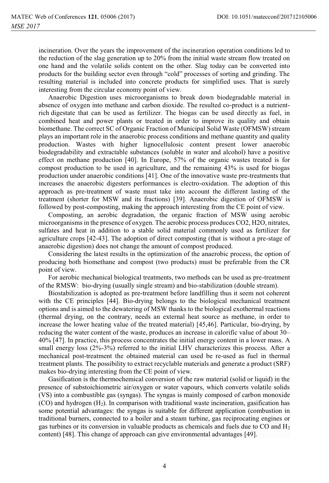incineration. Over the years the improvement of the incineration operation conditions led to the reduction of the slag generation up to 20% from the initial waste stream flow treated on one hand and the volatile solids content on the other. Slag today can be converted into products for the building sector even through "cold" processes of sorting and grinding. The resulting material is included into concrete products for simplified uses. That is surely interesting from the circular economy point of view.

Anaerobic Digestion uses microorganisms to break down biodegradable material in absence of oxygen into methane and carbon dioxide. The resulted co-product is a nutrientrich digestate that can be used as fertilizer. The biogas can be used directly as fuel, in combined heat and power plants or treated in order to improve its quality and obtain biomethane. The correct SC of Organic Fraction of Municipal Solid Waste (OFMSW) stream plays an important role in the anaerobic process conditions and methane quantity and quality production. Wastes with higher lignocellulosic content present lower anaerobic biodegradability and extractable substances (soluble in water and alcohol) have a positive effect on methane production [40]. In Europe, 57% of the organic wastes treated is for compost production to be used in agriculture, and the remaining 43% is used for biogas production under anaerobic conditions [41]. One of the innovative waste pre-treatments that increases the anaerobic digesters performances is electro-oxidation. The adoption of this approach as pre-treatment of waste must take into account the different lasting of the treatment (shorter for MSW and its fractions) [39]. Anaerobic digestion of OFMSW is followed by post-composting, making the approach interesting from the CE point of view.

Composting, an aerobic degradation, the organic fraction of MSW using aerobic microorganisms in the presence of oxygen. The aerobic process produces CO2, H2O, nitrates, sulfates and heat in addition to a stable solid material commonly used as fertilizer for agriculture crops [42-43]. The adoption of direct composting (that is without a pre-stage of anaerobic digestion) does not change the amount of compost produced.

Considering the latest results in the optimization of the anaerobic process, the option of producing both biomethane and compost (two products) must be preferable from the CR point of view.

For aerobic mechanical biological treatments, two methods can be used as pre-treatment of the RMSW: bio-drying (usually single stream) and bio-stabilization (double stream).

Biostabilization is adopted as pre-treatment before landfilling thus it seem not coherent with the CE principles [44]. Bio-drying belongs to the biological mechanical treatment options and is aimed to the dewatering of MSW thanks to the biological exothermal reactions (thermal drying, on the contrary, needs an external heat source as methane, in order to increase the lower heating value of the treated material) [45,46]. Particular, bio-drying, by reducing the water content of the waste, produces an increase in calorific value of about 30– 40% [47]. In practice, this process concentrates the initial energy content in a lower mass. A small energy loss (2%-3%) referred to the initial LHV characterizes this process. After a mechanical post-treatment the obtained material can used be re-used as fuel in thermal treatment plants. The possibility to extract recyclable materials and generate a product (SRF) makes bio-drying interesting from the CE point of view.

Gasification is the thermochemical conversion of the raw material (solid or liquid) in the presence of substoichiometric air/oxygen or water vapours, which converts volatile solids (VS) into a combustible gas (syngas). The syngas is mainly composed of carbon monoxide  $(CO)$  and hydrogen  $(H<sub>2</sub>)$ . In comparison with traditional waste incineration, gasification has some potential advantages: the syngas is suitable for different application (combustion in traditional burners, connected to a boiler and a steam turbine, gas reciprocating engines or gas turbines or its conversion in valuable products as chemicals and fuels due to CO and  $H_2$ content) [48]. This change of approach can give environmental advantages [49].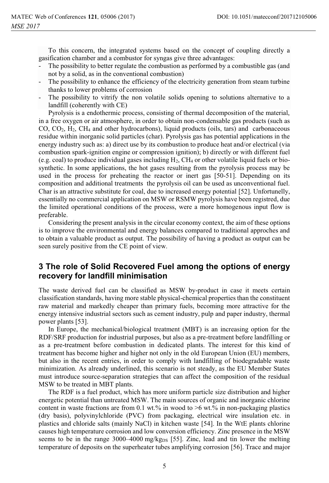To this concern, the integrated systems based on the concept of coupling directly a gasification chamber and a combustor for syngas give three advantages:

- The possibility to better regulate the combustion as performed by a combustible gas (and not by a solid, as in the conventional combustion)
- The possibility to enhance the efficiency of the electricity generation from steam turbine thanks to lower problems of corrosion
- The possibility to vitrify the non volatile solids opening to solutions alternative to a landfill (coherently with CE)

Pyrolysis is a endothermic process, consisting of thermal decomposition of the material, in a free oxygen or air atmosphere, in order to obtain non-condensable gas products (such as CO, CO<sub>2</sub>, H<sub>2</sub>, CH<sub>4</sub> and other hydrocarbons), liquid products (oils, tars) and carbonaceous residue within inorganic solid particles (char). Pyrolysis gas has potential applications in the energy industry such as: a) direct use by its combustion to produce heat and/or electrical (via combustion spark-ignition engine or compression ignition); b) directly or with different fuel (e.g. coal) to produce individual gases including  $H_2$ , CH<sub>4</sub> or other volatile liquid fuels or biosynthetic. In some applications, the hot gases resulting from the pyrolysis process may be used in the process for preheating the reactor or inert gas [50-51]. Depending on its composition and additional treatments the pyrolysis oil can be used as unconventional fuel. Char is an attractive substitute for coal, due to increased energy potential [52]. Unfortunelly, essentially no commercial application on MSW or RSMW pyrolysis have been registred, due the limited operational conditions of the process, were a more homogenous input flow is preferable.

Considering the present analysis in the circular economy context, the aim of these options is to improve the environmental and energy balances compared to traditional approches and to obtain a valuable product as output. The possibility of having a product as output can be seen surely positive from the CE point of view.

#### **3 The role of Solid Recovered Fuel among the options of energy recovery for landfill minimisation**

The waste derived fuel can be classified as MSW by-product in case it meets certain classification standards, having more stable physical-chemical properties than the constituent raw material and markedly cheaper than primary fuels, becoming more attractive for the energy intensive industrial sectors such as cement industry, pulp and paper industry, thermal power plants [53].

In Europe, the mechanical/biological treatment (MBT) is an increasing option for the RDF/SRF production for industrial purposes, but also as a pre-treatment before landfilling or as a pre-treatment before combustion in dedicated plants. The interest for this kind of treatment has become higher and higher not only in the old European Union (EU) members, but also in the recent entries, in order to comply with landfilling of biodegradable waste minimization. As already underlined, this scenario is not steady, as the EU Member States must introduce source-separation strategies that can affect the composition of the residual MSW to be treated in MBT plants.

The RDF is a fuel product, which has more uniform particle size distribution and higher energetic potential than untreated MSW. The main sources of organic and inorganic chlorine content in waste fractions are from 0.1 wt.% in wood to  $>6$  wt.% in non-packaging plastics (dry basis), polyvinylchloride (PVC) from packaging, electrical wire insulation etc. in plastics and chloride salts (mainly NaCl) in kitchen waste [54]. In the WtE plants chlorine causes high temperature corrosion and low conversion efficiency. Zinc presence in the MSW seems to be in the range 3000–4000 mg/kg<sub>DS</sub> [55]. Zinc, lead and tin lower the melting temperature of deposits on the superheater tubes amplifying corrosion [56]. Trace and major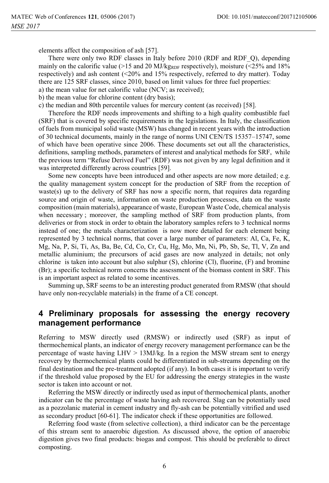elements affect the composition of ash [57].

There were only two RDF classes in Italy before 2010 (RDF and RDF\_Q), depending mainly on the calorific value ( $>15$  and 20 MJ/kg<sub>RDF</sub> respectively), moisture ( $<25\%$  and 18% respectively) and ash content (<20% and 15% respectively, referred to dry matter). Today there are 125 SRF classes, since 2010, based on limit values for three fuel properties:

a) the mean value for net calorific value (NCV; as received);

b) the mean value for chlorine content (dry basis);

c) the median and 80th percentile values for mercury content (as received) [58].

Therefore the RDF needs improvements and shifting to a high quality combustible fuel (SRF) that is covered by specific requirements in the legislations. In Italy, the classification of fuels from municipal solid waste (MSW) has changed in recent years with the introduction of 30 technical documents, mainly in the range of norms UNI CEN/TS 15357–15747, some of which have been operative since 2006. These documents set out all the characteristics, definitions, sampling methods, parameters of interest and analytical methods for SRF, while the previous term "Refuse Derived Fuel" (RDF) was not given by any legal definition and it was interpreted differently across countries [59].

Some new concepts have been introduced and other aspects are now more detailed; e.g. the quality management system concept for the production of SRF from the reception of waste(s) up to the delivery of SRF has now a specific norm, that requires data regarding source and origin of waste, information on waste production processes, data on the waste composition (main materials), appearance of waste, European Waste Code, chemical analysis when necessary ; moreover, the sampling method of SRF from production plants, from deliveries or from stock in order to obtain the laboratory samples refers to 3 technical norms instead of one; the metals characterization is now more detailed for each element being represented by 3 technical norms, that cover a large number of parameters: Al, Ca, Fe, K, Mg, Na, P, Si, Ti, As, Ba, Be, Cd, Co, Cr, Cu, Hg, Mo, Mn, Ni, Pb, Sb, Se, Tl, V, Zn and metallic aluminium; the precursors of acid gases are now analyzed in details; not only chlorine is taken into account but also sulphur (S), chlorine (Cl), fluorine, (F) and bromine (Br); a specific technical norm concerns the assessment of the biomass content in SRF. This is an important aspect as related to some incentives.

Summing up, SRF seems to be an interesting product generated from RMSW (that should have only non-recyclable materials) in the frame of a CE concept.

## **4 Preliminary proposals for assessing the energy recovery management performance**

Referring to MSW directly used (RMSW) or indirectly used (SRF) as input of thermochemical plants, an indicator of energy recovery management performance can be the percentage of waste having LHV > 13MJ/kg. In a region the MSW stream sent to energy recovery by thermochemical plants could be differentiated in sub-streams depending on the final destination and the pre-treatment adopted (if any). In both cases it is important to verify if the threshold value proposed by the EU for addressing the energy strategies in the waste sector is taken into account or not.

Referring the MSW directly or indirectly used as input of thermochemical plants, another indicator can be the percentage of waste having ash recovered. Slag can be potentially used as a pozzolanic material in cement industry and fly-ash can be potentially vitrified and used as secondary product [60-61]. The indicator check if these opportunities are followed.

Referring food waste (from selective collection), a third indicator can be the percentage of this stream sent to anaerobic digestion. As discussed above, the option of anaerobic digestion gives two final products: biogas and compost. This should be preferable to direct composting.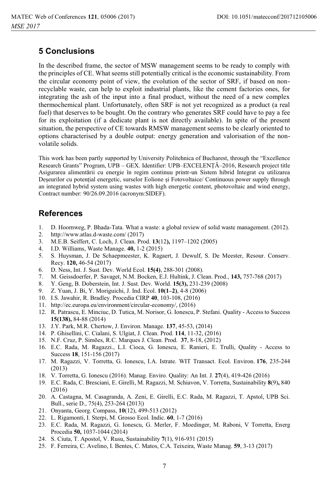## **5 Conclusions**

In the described frame, the sector of MSW management seems to be ready to comply with the principles of CE. What seems still potentially critical is the economic sustainability. From the circular economy point of view, the evolution of the sector of SRF, if based on nonrecyclable waste, can help to exploit industrial plants, like the cement factories ones, for integrating the ash of the input into a final product, without the need of a new complex thermochemical plant. Unfortunately, often SRF is not yet recognized as a product (a real fuel) that deserves to be bought. On the contrary who generates SRF could have to pay a fee for its exploitation (if a dedicate plant is not directly available). In spite of the present situation, the perspective of CE towards RMSW management seems to be clearly oriented to options characterised by a double output: energy generation and valorisation of the nonvolatile solids.

This work has been partly supported by University Politehnica of Bucharest, through the "Excellence Research Grants" Program, UPB – GEX. Identifier: UPB–EXCELENȚĂ–2016, Research project title Asigurarea alimentării cu energie în regim continuu printr-un Sistem hibrid Integrat cu utilizarea Deșeurilor cu potențial energetic, surselor Eolione și Fotovoltaice/ Continuous power supply through an integrated hybrid system using wastes with high energetic content, photovoltaic and wind energy, Contract number: 90/26.09.2016 (acronym:SIDEF).

#### **References**

- 1. D. Hoornweg, P. Bhada-Tata. What a waste: a global review of solid waste management. (2012).<br>2. http://www.atlas.d-waste.com/ (2017)
- 2. http://www.atlas.d-waste.com/ (2017)<br>3. M.E.B. Seiffert. C. Loch. J. Clean. Pro
- 3. M.E.B. Seiffert, C. Loch, J. Clean. Prod. **13**(12**),** 1197–1202 (2005)
- 4. I.D. Williams, Waste Manage. **40,** 1-2 (2015)
- 5. S. Huysman, J. De Schaepmeester, K. Ragaert, J. Dewulf, S. De Meester, Resour. Conserv. Recy. **120,** 46-54 (2017)
- 6. D. Ness, Int. J. Sust. Dev. World Ecol. **15(4)**, 288-301 (2008).
- 7. M. Geissdoerfer, P. Savaget, N.M. Bocken, E.J. Hultink, J. Clean. Prod., **143,** 757-768 (2017)
- 8. Y. Geng, B. Doberstein, Int. J. Sust. Dev. World. **15(3),** 231-239 (2008)
- 9. Z. Yuan, J. Bi, Y. Moriguichi, J. Ind. Ecol. **10(1–2)**, 4-8 (2006)
- 10. I.S. Jawahir, R. Bradley. Procedia CIRP **40**, 103-108, (2016)
- 11. http://ec.europa.eu/environment/circular-economy/, (2016)
- 12. R. Patrascu, E. Minciuc, D. Tutica, M. Norisor, G. Ionescu, P. Stefani. Quality Access to Success **15(138),** 84-88 (2014)
- 13. J.Y. Park, M.R. Chertow, J. Environ. Manage. **137**, 45-53, (2014)
- 14. P. Ghisellini, C. Cialani, S. Ulgiat, J. Clean. Prod. **114**, 11-32, (2016)
- 15. N.F. Cruz, P. Simões, R.C. Marques J. Clean. Prod. **37**, 8-18, (2012)
- 16. E.C. Rada, M. Ragazzi., L.I. Cioca, G. Ionescu, E. Ranieri, E. Trulli, Quality Access to Success **18**, 151-156 (2017)
- 17. M. Ragazzi, V. Torretta, G. Ionescu, I.A. Istrate. WIT Transact. Ecol. Environ. **176**, 235-244 (2013)
- 18. V. Torretta, G. Ionescu (2016). Manag. Enviro. Quality: An Int. J. **27**(4), 419-426 (2016)
- 19. E.C. Rada, C. Bresciani, E. Girelli, M. Ragazzi, M. Schiavon, V. Torretta, Sustainability **8**(9)**,** 840 (2016)
- 20. A. Castagna, M. Casagranda, A. Zeni, E. Girelli, E.C. Rada, M. Ragazzi, T. Apstol, UPB Sci. Bull., serie D., 75(4), 253-264 (2013|)
- 21. Onyanta, Georg. Compass, **10**(12), 499-513 (2012)
- 22. L. Rigamonti, I. Sterpi, M. Grosso Ecol. Indic. **60**, 1-7 (2016)
- 23. E.C. Rada, M. Ragazzi, G. Ionescu, G. Merler, F. Moedinger, M. Raboni, V Torretta, Energ Procedia **50,** 1037-1044 (2014)
- 24. S. Ciuta, T. Apostol, V. Rusu, Sustainability **7**(1), 916-931 (2015)
- 25. F. Ferreira, C. Avelino, I. Bentes, C. Matos, C.A. Teixeira, Waste Manag. **59**, 3-13 (2017)